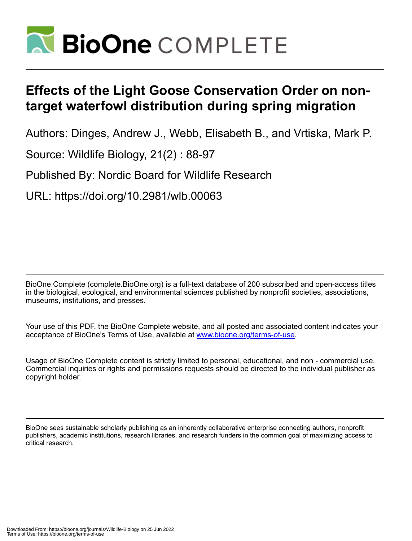

# **Effects of the Light Goose Conservation Order on nontarget waterfowl distribution during spring migration**

Authors: Dinges, Andrew J., Webb, Elisabeth B., and Vrtiska, Mark P.

Source: Wildlife Biology, 21(2) : 88-97

Published By: Nordic Board for Wildlife Research

URL: https://doi.org/10.2981/wlb.00063

BioOne Complete (complete.BioOne.org) is a full-text database of 200 subscribed and open-access titles in the biological, ecological, and environmental sciences published by nonprofit societies, associations, museums, institutions, and presses.

Your use of this PDF, the BioOne Complete website, and all posted and associated content indicates your acceptance of BioOne's Terms of Use, available at www.bioone.org/terms-of-use.

Usage of BioOne Complete content is strictly limited to personal, educational, and non - commercial use. Commercial inquiries or rights and permissions requests should be directed to the individual publisher as copyright holder.

BioOne sees sustainable scholarly publishing as an inherently collaborative enterprise connecting authors, nonprofit publishers, academic institutions, research libraries, and research funders in the common goal of maximizing access to critical research.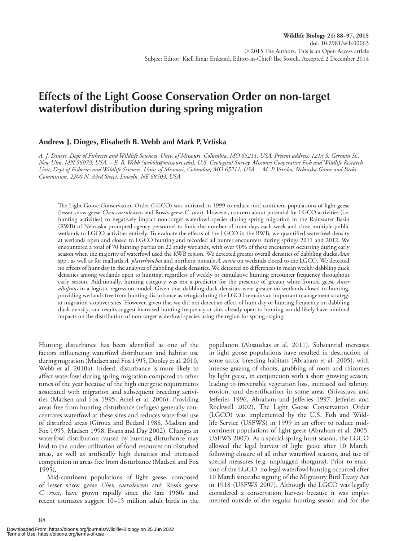## **Effects of the Light Goose Conservation Order on non-target waterfowl distribution during spring migration**

#### **Andrew J. Dinges, Elisabeth B. Webb and Mark P. Vrtiska**

*A. J. Dinges, Dept of Fisheries and Wildlife Sciences, Univ. of Missouri, Columbia, MO 65211, USA. Present address: 1213 S. German St., New Ulm, MN 56073, USA. – E. B. Webb (webbli@missouri.edu), U.S. Geological Survey, Missouri Cooperative Fish and Wildlife Research Unit, Dept of Fisheries and Wildlife Sciences, Univ. of Missouri, Columbia, MO 65211, USA. – M. P. Vrtiska, Nebraska Game and Parks Commission, 2200 N. 33rd Street, Lincoln, NE 68503, USA* 

The Light Goose Conservation Order (LGCO) was initiated in 1999 to reduce mid-continent populations of light geese (lesser snow geese *Chen caerulescens* and Ross's geese *C. rossi*). However, concern about potential for LGCO activities (i.e. hunting activities) to negatively impact non-target waterfowl species during spring migration in the Rainwater Basin (RWB) of Nebraska prompted agency personnel to limit the number of hunt days each week and close multiple public wetlands to LGCO activities entirely. To evaluate the effects of the LGCO in the RWB, we quantified waterfowl density at wetlands open and closed to LGCO hunting and recorded all hunter encounters during springs 2011 and 2012. We encountered a total of 70 hunting parties on 22 study wetlands, with over 90% of these encounters occurring during early season when the majority of waterfowl used the RWB region. We detected greater overall densities of dabbling ducks *Anas* spp., as well as for mallards *A. platyrhynchos* and northern pintails *A. acuta* on wetlands closed to the LGCO. We detected no effects of hunt day in the analyses of dabbling duck densities. We detected no differences in mean weekly dabbling duck densities among wetlands open to hunting, regardless of weekly or cumulative hunting encounter frequency throughout early season. Additionally, hunting category was not a predictor for the presence of greater white-fronted geese *Anser albifrons* in a logistic regression model. Given that dabbling duck densities were greater on wetlands closed to hunting, providing wetlands free from hunting disturbance as refugia during the LGCO remains an important management strategy at migration stopover sites. However, given that we did not detect an effect of hunt day or hunting frequency on dabbling duck density, our results suggest increased hunting frequency at sites already open to hunting would likely have minimal impacts on the distribution of non-target waterfowl species using the region for spring staging.

Hunting disturbance has been identified as one of the factors influencing waterfowl distribution and habitat use during migration (Madsen and Fox 1995, Dooley et al. 2010, Webb et al. 2010a). Indeed, disturbance is more likely to affect waterfowl during spring migration compared to other times of the year because of the high energetic requirements associated with migration and subsequent breeding activities (Madsen and Fox 1995, Arzel et al. 2006). Providing areas free from hunting disturbance (refuges) generally concentrates waterfowl at these sites and reduces waterfowl use of disturbed areas (Giroux and Bedard 1988, Madsen and Fox 1995, Madsen 1998, Evans and Day 2002). Changes in waterfowl distribution caused by hunting disturbance may lead to the under-utilization of food resources on disturbed areas, as well as artificially high densities and increased competition in areas free from disturbance (Madsen and Fox 1995).

Mid-continent populations of light geese, composed of lesser snow geese *Chen caerulescens* and Ross's geese *C. rossi*, have grown rapidly since the late 1960s and recent estimates suggest 10–15 million adult birds in the in light goose populations have resulted in destruction of some arctic breeding habitats (Abraham et al. 2005), with intense grazing of shoots, grubbing of roots and rhizomes by light geese, in conjunction with a short growing season, leading to irreversible vegetation loss, increased soil salinity, erosion, and desertification in some areas (Srivastava and Jefferies 1996, Abraham and Jefferies 1997, Jefferies and Rockwell 2002). The Light Goose Conservation Order (LGCO) was implemented by the U.S. Fish and Wildlife Service (USFWS) in 1999 in an effort to reduce midcontinent populations of light geese (Abraham et al. 2005, USFWS 2007). As a special spring hunt season, the LGCO allowed the legal harvest of light geese after 10 March, following closure of all other waterfowl seasons, and use of special measures (e.g. unplugged shotguns). Prior to enaction of the LGCO, no legal waterfowl hunting occurred after 10 March since the signing of the Migratory Bird Treaty Act in 1918 (USFWS 2007). Although the LGCO was legally considered a conservation harvest because it was implemented outside of the regular hunting season and for the

population (Alisauskas et al. 2011). Substantial increases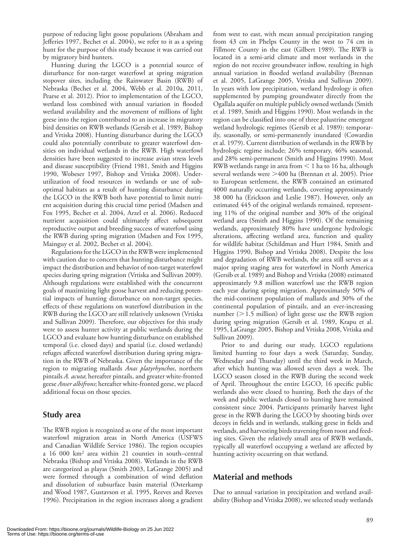purpose of reducing light goose populations (Abraham and Jefferies 1997, Bechet et al. 2004), we refer to it as a spring hunt for the purpose of this study because it was carried out by migratory bird hunters.

Hunting during the LGCO is a potential source of disturbance for non-target waterfowl at spring migration stopover sites, including the Rainwater Basin (RWB) of Nebraska (Bechet et al. 2004, Webb et al. 2010a*,* 2011, Pearse et al. 2012). Prior to implementation of the LGCO, wetland loss combined with annual variation in flooded wetland availability and the movement of millions of light geese into the region contributed to an increase in migratory bird densities on RWB wetlands (Gersib et al. 1989, Bishop and Vrtiska 2008). Hunting disturbance during the LGCO could also potentially contribute to greater waterfowl densities on individual wetlands in the RWB. High waterfowl densities have been suggested to increase avian stress levels and disease susceptibility (Friend 1981, Smith and Higgins 1990, Wobeser 1997, Bishop and Vrtiska 2008). Underutilization of food resources in wetlands or use of suboptimal habitats as a result of hunting disturbance during the LGCO in the RWB both have potential to limit nutrient acquisition during this crucial time period (Madsen and Fox 1995, Bechet et al. 2004, Arzel et al. 2006). Reduced nutrient acquisition could ultimately affect subsequent reproductive output and breeding success of waterfowl using the RWB during spring migration (Madsen and Fox 1995, Mainguy et al. 2002, Bechet et al. 2004).

Regulations for the LGCO in the RWB were implemented with caution due to concern that hunting disturbance might impact the distribution and behavior of non-target waterfowl species during spring migration (Vrtiska and Sullivan 2009). Although regulations were established with the concurrent goals of maximizing light goose harvest and reducing potential impacts of hunting disturbance on non-target species, effects of these regulations on waterfowl distribution in the RWB during the LGCO are still relatively unknown (Vrtiska and Sullivan 2009). Therefore, our objectives for this study were to assess hunter activity at public wetlands during the LGCO and evaluate how hunting disturbance on established temporal (i.e. closed days) and spatial (i.e. closed wetlands) refuges affected waterfowl distribution during spring migration in the RWB of Nebraska. Given the importance of the region to migrating mallards *Anas platyrhynchos*, northern pintails *A. acuta*; hereafter pintails, and greater white-fronted geese *Anser albifrons*; hereafter white-fronted geese, we placed additional focus on those species.

## **Study area**

The RWB region is recognized as one of the most important waterfowl migration areas in North America (USFWS and Canadian Wildlife Service 1986). The region occupies a 16 000 km2 area within 21 counties in south–central Nebraska (Bishop and Vrtiska 2008). Wetlands in the RWB are categorized as playas (Smith 2003, LaGrange 2005) and were formed through a combination of wind deflation and dissolution of subsurface basin material (Osterkamp and Wood 1987, Gustavson et al. 1995, Reeves and Reeves 1996). Precipitation in the region increases along a gradient from west to east, with mean annual precipitation ranging from 43 cm in Phelps County in the west to 74 cm in Fillmore County in the east (Gilbert 1989). The RWB is located in a semi-arid climate and most wetlands in the region do not receive groundwater inflow, resulting in high annual variation in flooded wetland availability (Brennan et al. 2005, LaGrange 2005, Vrtiska and Sullivan 2009). In years with low precipitation, wetland hydrology is often supplemented by pumping groundwater directly from the Ogallala aquifer on multiple publicly owned wetlands (Smith et al. 1989, Smith and Higgins 1990). Most wetlands in the region can be classified into one of three palustrine emergent wetland hydrologic regimes (Gersib et al. 1989): temporarily, seasonally, or semi-permanently inundated (Cowardin et al. 1979). Current distribution of wetlands in the RWB by hydrologic regime include; 26% temporary, 46% seasonal, and 28% semi-permanent (Smith and Higgins 1990). Most RWB wetlands range in area from  $\leq 1$  ha to 16 ha, although several wetlands were  $>400$  ha (Brennan et al. 2005). Prior to European settlement, the RWB contained an estimated 4000 naturally occurring wetlands, covering approximately 38 000 ha (Erickson and Leslie 1987). However, only an estimated 445 of the original wetlands remained, representing 11% of the original number and 30% of the original wetland area (Smith and Higgins 1990). Of the remaining wetlands, approximately 80% have undergone hydrologic alterations, affecting wetland area, function and quality for wildlife habitat (Schildman and Hurt 1984, Smith and Higgins 1990, Bishop and Vrtiska 2008). Despite the loss and degradation of RWB wetlands, the area still serves as a major spring staging area for waterfowl in North America (Gersib et al. 1989) and Bishop and Vrtiska (2008) estimated approximately 9.8 million waterfowl use the RWB region each year during spring migration. Approximately 50% of the mid-continent population of mallards and 30% of the continental population of pintails, and an ever-increasing number ( $> 1.5$  million) of light geese use the RWB region during spring migration (Gersib et al. 1989, Krapu et al. 1995, LaGrange 2005, Bishop and Vrtiska 2008, Vrtiska and Sullivan 2009).

Prior to and during our study, LGCO regulations limited hunting to four days a week (Saturday, Sunday, Wednesday and Thursday) until the third week in March, after which hunting was allowed seven days a week. The LGCO season closed in the RWB during the second week of April. Throughout the entire LGCO, 16 specific public wetlands also were closed to hunting. Both the days of the week and public wetlands closed to hunting have remained consistent since 2004. Participants primarily harvest light geese in the RWB during the LGCO by shooting birds over decoys in fields and in wetlands, stalking geese in fields and wetlands, and harvesting birds traversing from roost and feeding sites. Given the relatively small area of RWB wetlands, typically all waterfowl occupying a wetland are affected by hunting activity occurring on that wetland.

## **Material and methods**

Due to annual variation in precipitation and wetland availability (Bishop and Vrtiska 2008), we selected study wetlands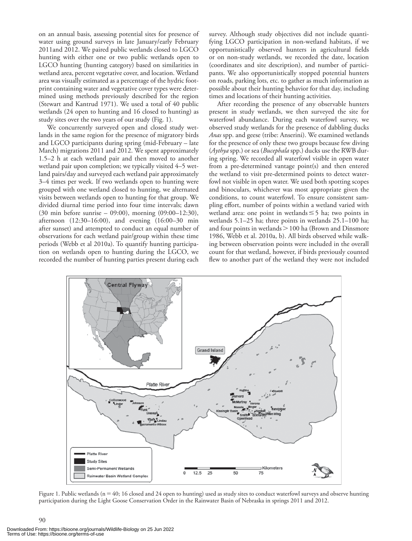on an annual basis, assessing potential sites for presence of water using ground surveys in late January/early February 2011and 2012. We paired public wetlands closed to LGCO hunting with either one or two public wetlands open to LGCO hunting (hunting category) based on similarities in wetland area, percent vegetative cover, and location. Wetland area was visually estimated as a percentage of the hydric footprint containing water and vegetative cover types were determined using methods previously described for the region (Stewart and Kantrud 1971). We used a total of 40 public wetlands (24 open to hunting and 16 closed to hunting) as study sites over the two years of our study (Fig. 1).

We concurrently surveyed open and closed study wetlands in the same region for the presence of migratory birds and LGCO participants during spring (mid-February – late March) migrations 2011 and 2012. We spent approximately 1.5–2 h at each wetland pair and then moved to another wetland pair upon completion; we typically visited 4–5 wetland pairs/day and surveyed each wetland pair approximately 3–4 times per week. If two wetlands open to hunting were grouped with one wetland closed to hunting, we alternated visits between wetlands open to hunting for that group. We divided diurnal time period into four time intervals; dawn (30 min before sunrise – 09:00), morning (09:00–12:30), afternoon (12:30–16:00), and evening (16:00–30 min after sunset) and attempted to conduct an equal number of observations for each wetland pair/group within these time periods (Webb et al 2010a). To quantify hunting participation on wetlands open to hunting during the LGCO, we recorded the number of hunting parties present during each survey. Although study objectives did not include quantifying LGCO participation in non-wetland habitats, if we opportunistically observed hunters in agricultural fields or on non-study wetlands, we recorded the date, location (coordinates and site description), and number of participants. We also opportunistically stopped potential hunters on roads, parking lots, etc. to gather as much information as possible about their hunting behavior for that day, including times and locations of their hunting activities.

After recording the presence of any observable hunters present in study wetlands, we then surveyed the site for waterfowl abundance. During each waterfowl survey, we observed study wetlands for the presence of dabbling ducks *Anas* spp. and geese (tribe: Anserini). We examined wetlands for the presence of only these two groups because few diving (*Aythya* spp.) or sea (*Bucephala* spp.) ducks use the RWB during spring. We recorded all waterfowl visible in open water from a pre-determined vantage point(s) and then entered the wetland to visit pre-determined points to detect waterfowl not visible in open water. We used both spotting scopes and binoculars, whichever was most appropriate given the conditions, to count waterfowl. To ensure consistent sampling effort, number of points within a wetland varied with wetland area: one point in wetlands  $\leq$  5 ha; two points in wetlands 5.1–25 ha; three points in wetlands 25.1–100 ha; and four points in wetlands  $> 100$  ha (Brown and Dinsmore 1986, Webb et al. 2010a, b). All birds observed while walking between observation points were included in the overall count for that wetland, however, if birds previously counted flew to another part of the wetland they were not included



Figure 1. Public wetlands  $(n = 40; 16 \text{ closed and } 24 \text{ open to hunting})$  used as study sites to conduct waterfowl surveys and observe hunting participation during the Light Goose Conservation Order in the Rainwater Basin of Nebraska in springs 2011 and 2012.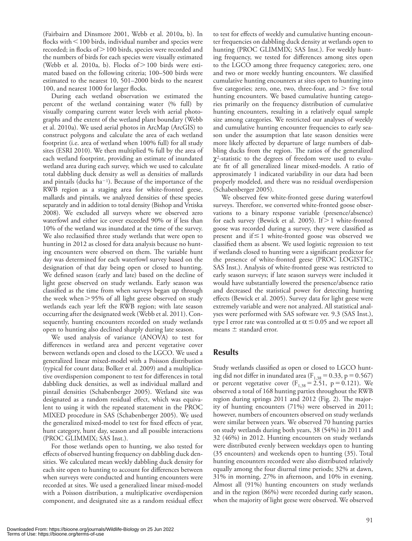(Fairbairn and Dinsmore 2001, Webb et al. 2010a, b). In flocks with  $<$  100 birds, individual number and species were recorded; in flocks of  $> 100$  birds, species were recorded and the numbers of birds for each species were visually estimated (Webb et al. 2010a, b). Flocks of  $> 100$  birds were estimated based on the following criteria; 100–500 birds were estimated to the nearest 10, 501–2000 birds to the nearest 100, and nearest 1000 for larger flocks.

During each wetland observation we estimated the percent of the wetland containing water (% full) by visually comparing current water levels with aerial photographs and the extent of the wetland plant boundary (Webb et al. 2010a). We used aerial photos in ArcMap (ArcGIS) to construct polygons and calculate the area of each wetland footprint (i.e. area of wetland when 100% full) for all study sites (ESRI 2010). We then multiplied % full by the area of each wetland footprint, providing an estimate of inundated wetland area during each survey, which we used to calculate total dabbling duck density as well as densities of mallards and pintails (ducks  $ha^{-1}$ ). Because of the importance of the RWB region as a staging area for white-fronted geese, mallards and pintails, we analyzed densities of these species separately and in addition to total density (Bishop and Vrtiska 2008). We excluded all surveys where we observed zero waterfowl and either ice cover exceeded 90% or if less than 10% of the wetland was inundated at the time of the survey. We also reclassified three study wetlands that were open to hunting in 2012 as closed for data analysis because no hunting encounters were observed on them. The variable hunt day was determined for each waterfowl survey based on the designation of that day being open or closed to hunting. We defined season (early and late) based on the decline of light geese observed on study wetlands. Early season was classified as the time from when surveys began up through the week when  $> 95\%$  of all light geese observed on study wetlands each year left the RWB region; with late season occurring after the designated week (Webb et al. 2011). Consequently, hunting encounters recorded on study wetlands open to hunting also declined sharply during late season.

We used analysis of variance (ANOVA) to test for differences in wetland area and percent vegetative cover between wetlands open and closed to the LGCO. We used a generalized linear mixed-model with a Poisson distribution (typical for count data; Bolker et al. 2009) and a multiplicative overdispersion component to test for differences in total dabbling duck densities, as well as individual mallard and pintail densities (Schabenberger 2005). Wetland site was designated as a random residual effect, which was equivalent to using it with the repeated statement in the PROC MIXED procedure in SAS (Schabenberger 2005). We used the generalized mixed-model to test for fixed effects of year, hunt category, hunt day, season and all possible interactions (PROC GLIMMIX; SAS Inst.).

For those wetlands open to hunting, we also tested for effects of observed hunting frequency on dabbling duck densities. We calculated mean weekly dabbling duck density for each site open to hunting to account for differences between when surveys were conducted and hunting encounters were recorded at sites. We used a generalized linear mixed-model with a Poisson distribution, a multiplicative overdispersion component, and designated site as a random residual effect to test for effects of weekly and cumulative hunting encounter frequencies on dabbling duck density at wetlands open to hunting (PROC GLIMMIX; SAS Inst.). For weekly hunting frequency, we tested for differences among sites open to the LGCO among three frequency categories; zero, one and two or more weekly hunting encounters. We classified cumulative hunting encounters at sites open to hunting into five categories; zero, one, two, three-four, and  $>$  five total hunting encounters. We based cumulative hunting categories primarily on the frequency distribution of cumulative hunting encounters, resulting in a relatively equal sample size among categories. We restricted our analyses of weekly and cumulative hunting encounter frequencies to early season under the assumption that late season densities were more likely affected by departure of large numbers of dabbling ducks from the region. The ratios of the generalized  $\chi^2$ -statistic to the degrees of freedom were used to evaluate fit of all generalized linear mixed-models. A ratio of approximately 1 indicated variability in our data had been properly modeled, and there was no residual overdispersion (Schabenberger 2005).

We observed few white-fronted geese during waterfowl surveys. Therefore, we converted white-fronted goose observations to a binary response variable (presence/absence) for each survey (Bewick et al. 2005). If  $> 1$  white-fronted goose was recorded during a survey, they were classified as present and if  $\leq 1$  white-fronted goose was observed we classified them as absent. We used logistic regression to test if wetlands closed to hunting were a significant predictor for the presence of white-fronted geese (PROC LOGISTIC; SAS Inst.). Analysis of white-fronted geese was restricted to early season surveys; if late season surveys were included it would have substantially lowered the presence/absence ratio and decreased the statistical power for detecting hunting effects (Bewick et al. 2005). Survey data for light geese were extremely variable and were not analyzed. All statistical analyses were performed with SAS software ver. 9.3 (SAS Inst.), type I error rate was controlled at  $\alpha \le 0.05$  and we report all means  $\pm$  standard error.

## **Results**

Study wetlands classified as open or closed to LGCO hunting did not differ in inundated area ( $F_{1,38} = 0.33$ , p = 0.567) or percent vegetative cover  $(F_{1,38} = 2.51, p = 0.121)$ . We observed a total of 168 hunting parties throughout the RWB region during springs 2011 and 2012 (Fig. 2). The majority of hunting encounters (71%) were observed in 2011; however, numbers of encounters observed on study wetlands were similar between years. We observed 70 hunting parties on study wetlands during both years, 38 (54%) in 2011 and 32 (46%) in 2012. Hunting encounters on study wetlands were distributed evenly between weekdays open to hunting (35 encounters) and weekends open to hunting (35). Total hunting encounters recorded were also distributed relatively equally among the four diurnal time periods; 32% at dawn, 31% in morning, 27% in afternoon, and 10% in evening. Almost all (91%) hunting encounters on study wetlands and in the region (86%) were recorded during early season, when the majority of light geese were observed. We observed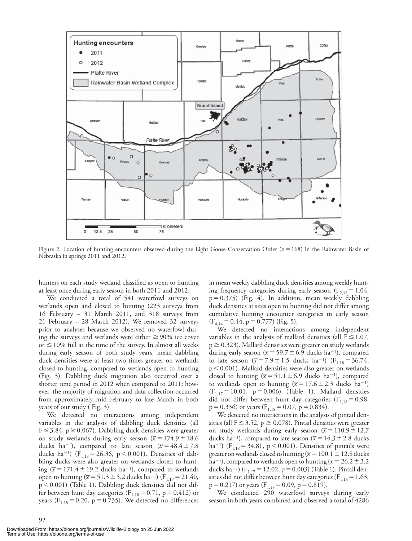

Figure 2. Location of hunting encounters observed during the Light Goose Conservation Order (n = 168) in the Rainwater Basin of Nebraska in springs 2011 and 2012.

hunters on each study wetland classified as open to hunting at least once during early season in both 2011 and 2012.

We conducted a total of 541 waterfowl surveys on wetlands open and closed to hunting (223 surveys from 16 February – 31 March 2011, and 318 surveys from 21 February – 28 March 2012). We removed 32 surveys prior to analyses because we observed no waterfowl during the surveys and wetlands were either  $\geq 90\%$  ice cover or  $\leq$  10% full at the time of the survey. In almost all weeks during early season of both study years, mean dabbling duck densities were at least two times greater on wetlands closed to hunting, compared to wetlands open to hunting (Fig. 3). Dabbling duck migration also occurred over a shorter time period in 2012 when compared to 2011; however, the majority of migration and data collection occurred from approximately mid-February to late March in both years of our study ( Fig. 3).

We detected no interactions among independent variables in the analysis of dabbling duck densities (all  $F \le 3.84$ ,  $p \ge 0.067$ ). Dabbling duck densities were greater on study wetlands during early season ( $\bar{x}$  = 174.9  $\pm$  18.6 ducks ha<sup>-1</sup>), compared to late season ( $\overline{x}$  = 48.4 ± 7.8 ducks ha<sup>-1</sup>) (F<sub>1,18</sub> = 26.36, p < 0.001). Densities of dabbling ducks were also greater on wetlands closed to hunting  $(\bar{x} = 171.4 \pm 19.2 \text{ ducks ha}^{-1})$ , compared to wetlands open to hunting ( $\bar{x}$  = 51.3 ± 5.2 ducks ha<sup>-1</sup>) (F<sub>1,17</sub> = 21.40,  $p$ <0.001) (Table 1). Dabbling duck densities did not differ between hunt day categories ( $F_{1,18} = 0.71$ , p = 0.412) or years ( $F_{1,18} = 0.20$ , p = 0.735). We detected no differences

in mean weekly dabbling duck densities among weekly hunting frequency categories during early season ( $F_{2,18} = 1.04$ ,  $p = 0.375$ ) (Fig. 4). In addition, mean weekly dabbling duck densities at sites open to hunting did not differ among cumulative hunting encounter categories in early season  $(F_{4,14} = 0.44, p = 0.777)$  (Fig. 5).

We detected no interactions among independent variables in the analysis of mallard densities (all  $F \le 1.07$ ,  $p \ge 0.323$ ). Mallard densities were greater on study wetlands during early season ( $\bar{x}$  = 59.7  $\pm$  6.9 ducks ha<sup>-1</sup>), compared to late season ( $\bar{x}$  = 7.9 ± 1.5 ducks ha<sup>-1</sup>) (F<sub>1,18</sub> = 36.74,  $p < 0.001$ ). Mallard densities were also greater on wetlands closed to hunting ( $\bar{x}$  = 51.1  $\pm$  6.9 ducks ha<sup>-1</sup>), compared to wetlands open to hunting ( $\bar{x}$  = 17.6 ± 2.3 ducks ha<sup>-1</sup>)  $(F_{1,17} = 10.01, p = 0.006)$  (Table 1). Mallard densities did not differ between hunt day categories ( $F_{1,18} = 0.98$ ,  $p = 0.336$ ) or years (F<sub>1,18</sub> = 0.07, p = 0.834).

We detected no interactions in the analysis of pintail densities (all  $F \le 3.52$ ,  $p \ge 0.078$ ). Pintail densities were greater on study wetlands during early season ( $\bar{x}$  = 110.9  $\pm$  12.7 ducks ha<sup>-1</sup>), compared to late season ( $\bar{x}$  = 14.3  $\pm$  2.8 ducks ha<sup>-1</sup>) (F<sub>1,18</sub> = 34.81, p < 0.001). Densities of pintails were greater on wetlands closed to hunting ( $\bar{x}$  = 100.1  $\pm$  12.8 ducks ha<sup>-1</sup>), compared to wetlands open to hunting ( $\bar{x}$  = 26.2  $\pm$  3.2 ducks ha<sup>-1</sup>) (F<sub>1,17</sub> = 12.02, p = 0.003) (Table 1). Pintail densities did not differ between hunt day categories ( $F_{1,18} = 1.63$ ,  $p = 0.217$ ) or years (F<sub>1,18</sub> = 0.09, p = 0.819).

We conducted 290 waterfowl surveys during early season in both years combined and observed a total of 4286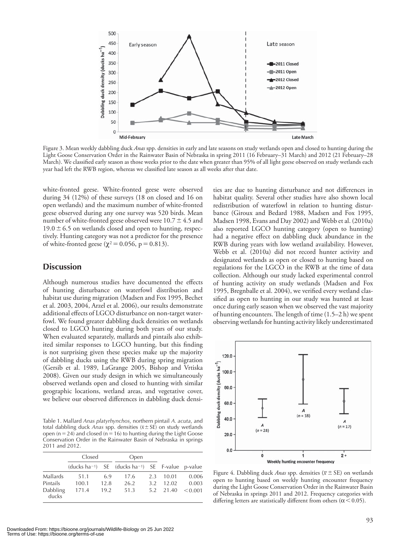

Figure 3. Mean weekly dabbling duck *Anas* spp. densities in early and late seasons on study wetlands open and closed to hunting during the Light Goose Conservation Order in the Rainwater Basin of Nebraska in spring 2011 (16 February–31 March) and 2012 (21 February–28 March). We classified early season as those weeks prior to the date when greater than 95% of all light geese observed on study wetlands each year had left the RWB region, whereas we classified late season as all weeks after that date.

white-fronted geese. White-fronted geese were observed during 34 (12%) of these surveys (18 on closed and 16 on open wetlands) and the maximum number of white-fronted geese observed during any one survey was 520 birds. Mean number of white-fronted geese observed were  $10.7 \pm 4.5$  and  $19.0 \pm 6.5$  on wetlands closed and open to hunting, respectively. Hunting category was not a predictor for the presence of white-fronted geese ( $\chi^2$  = 0.056, p = 0.813).

### **Discussion**

Although numerous studies have documented the effects of hunting disturbance on waterfowl distribution and habitat use during migration (Madsen and Fox 1995, Bechet et al. 2003, 2004, Arzel et al. 2006), our results demonstrate additional effects of LGCO disturbance on non-target waterfowl. We found greater dabbling duck densities on wetlands closed to LGCO hunting during both years of our study. When evaluated separately, mallards and pintails also exhibited similar responses to LGCO hunting, but this finding is not surprising given these species make up the majority of dabbling ducks using the RWB during spring migration (Gersib et al. 1989, LaGrange 2005, Bishop and Vrtiska 2008). Given our study design in which we simultaneously observed wetlands open and closed to hunting with similar geographic locations, wetland areas, and vegetative cover, we believe our observed differences in dabbling duck densi-

Table 1. Mallard *Anas platyrhynchos*, northern pintail *A. acuta*, and total dabbling duck *Anas* spp. densities (*x* SE) on study wetlands open  $(n=24)$  and closed  $(n=16)$  to hunting during the Light Goose Conservation Order in the Rainwater Basin of Nebraska in springs 2011 and 2012.

|                                  | Closed                 |                     | Open                                                      |            |                             |                           |
|----------------------------------|------------------------|---------------------|-----------------------------------------------------------|------------|-----------------------------|---------------------------|
|                                  |                        |                     | $(ducks ha^{-1})$ SE $(ducks ha^{-1})$ SE F-value p-value |            |                             |                           |
| Mallards<br>Pintails<br>Dabbling | 51.1<br>100.1<br>171.4 | 6.9<br>12.8<br>19.2 | 17.6<br>26.2<br>51.3                                      | 2.3<br>3.2 | 10.01<br>12.02<br>5.2 21.40 | 0.006<br>0.003<br>< 0.001 |
| ducks                            |                        |                     |                                                           |            |                             |                           |

ties are due to hunting disturbance and not differences in habitat quality. Several other studies have also shown local redistribution of waterfowl in relation to hunting disturbance (Giroux and Bedard 1988, Madsen and Fox 1995, Madsen 1998, Evans and Day 2002) and Webb et al. (2010a) also reported LGCO hunting category (open to hunting) had a negative effect on dabbling duck abundance in the RWB during years with low wetland availability. However, Webb et al. (2010a) did not record hunter activity and designated wetlands as open or closed to hunting based on regulations for the LGCO in the RWB at the time of data collection. Although our study lacked experimental control of hunting activity on study wetlands (Madsen and Fox 1995, Bregnballe et al. 2004), we verified every wetland classified as open to hunting in our study was hunted at least once during early season when we observed the vast majority of hunting encounters. The length of time (1.5–2 h) we spent observing wetlands for hunting activity likely underestimated



Figure 4. Dabbling duck *Anas* spp. densities ( $\overline{x} \pm \overline{SE}$ ) on wetlands open to hunting based on weekly hunting encounter frequency during the Light Goose Conservation Order in the Rainwater Basin of Nebraska in springs 2011 and 2012. Frequency categories with differing letters are statistically different from others ( $\alpha$  < 0.05).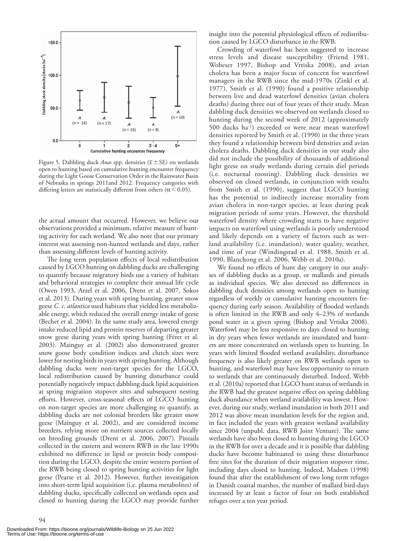

Figure 5. Dabbling duck *Anas* spp. densities ( $\overline{x} \pm$  SE) on wetlands open to hunting based on cumulative hunting encounter frequency during the Light Goose Conservation Order in the Rainwater Basin of Nebraska in springs 2011and 2012. Frequency categories with differing letters are statistically different from others ( $\alpha$  < 0.05).

the actual amount that occurred. However, we believe our observations provided a minimum, relative measure of hunting activity for each wetland. We also note that our primary interest was assessing non-hunted wetlands and days, rather than assessing different levels of hunting activity.

The long term population effects of local redistribution caused by LGCO hunting on dabbling ducks are challenging to quantify because migratory birds use a variety of habitats and behavioral strategies to complete their annual life cycle (Owen 1993, Arzel et al. 2006, Drent et al. 2007, Sokos et al. 2013). During years with spring hunting, greater snow geese *C. c. atlantica* used habitats that yielded less metabolizable energy, which reduced the overall energy intake of geese (Bechet et al. 2004). In the same study area, lowered energy intake reduced lipid and protein reserves of departing greater snow geese during years with spring hunting (Féret et al. 2003). Mainguy et al. (2002) also demonstrated greater snow goose body condition indices and clutch sizes were lower for nesting birds in years with spring hunting. Although dabbling ducks were non-target species for the LGCO, local redistribution caused by hunting disturbance could potentially negatively impact dabbling duck lipid acquisition at spring migration stopover sites and subsequent nesting efforts. However, cross-seasonal effects of LGCO hunting on non-target species are more challenging to quantify, as dabbling ducks are not colonial breeders like greater snow geese (Mainguy et al. 2002), and are considered income breeders, relying more on nutrient sources collected locally on breeding grounds (Drent et al. 2006, 2007). Pintails collected in the eastern and western RWB in the late 1990s exhibited no difference in lipid or protein body composition during the LGCO, despite the entire western portion of the RWB being closed to spring hunting activities for light geese (Pearse et al. 2012). However, further investigation into short-term lipid acquisition (i.e. plasma metabolites) of dabbling ducks, specifically collected on wetlands open and closed to hunting during the LGCO may provide further insight into the potential physiological effects of redistribution caused by LGCO disturbance in the RWB.

Crowding of waterfowl has been suggested to increase stress levels and disease susceptibility (Friend 1981, Wobeser 1997, Bishop and Vrtiska 2008), and avian cholera has been a major focus of concern for waterfowl managers in the RWB since the mid-1970s (Zinkl et al. 1977). Smith et al. (1990) found a positive relationship between live and dead waterfowl densities (avian cholera deaths) during three out of four years of their study. Mean dabbling duck densities we observed on wetlands closed to hunting during the second week of 2012 (approximately 500 ducks ha-1) exceeded or were near mean waterfowl densities reported by Smith et al. (1990) in the three years they found a relationship between bird densities and avian cholera deaths. Dabbling duck densities in our study also did not include the possibility of thousands of additional light geese on study wetlands during certain diel periods (i.e. nocturnal roosting). Dabbling duck densities we observed on closed wetlands, in conjunction with results from Smith et al. (1990), suggest that LGCO hunting has the potential to indirectly increase mortality from avian cholera in non-target species, at least during peak migration periods of some years. However, the threshold waterfowl density where crowding starts to have negative impacts on waterfowl using wetlands is poorly understood and likely depends on a variety of factors such as wetland availability (i.e. inundation), water quality, weather, and time of year (Windingstad et al. 1988, Smith et al. 1990, Blanchong et al. 2006, Webb et al. 2010a).

We found no effects of hunt day category in our analyses of dabbling ducks as a group, or mallards and pintails as individual species. We also detected no differences in dabbling duck densities among wetlands open to hunting regardless of weekly or cumulative hunting encounters frequency during early season. Availability of flooded wetlands is often limited in the RWB and only 4–23% of wetlands pond water in a given spring (Bishop and Vrtiska 2008). Waterfowl may be less responsive to days closed to hunting in dry years when fewer wetlands are inundated and hunters are more concentrated on wetlands open to hunting. In years with limited flooded wetland availability, disturbance frequency is also likely greater on RWB wetlands open to hunting, and waterfowl may have less opportunity to return to wetlands that are continuously disturbed. Indeed, Webb et al. (2010a) reported that LGCO hunt status of wetlands in the RWB had the greatest negative effect on spring dabbling duck abundance when wetland availability was lowest. However, during our study, wetland inundation in both 2011 and 2012 was above mean inundation levels for the region and, in fact included the years with greatest wetland availability since 2004 (unpubl. data, RWB Joint Venture). The same wetlands have also been closed to hunting during the LGCO in the RWB for over a decade and it is possible that dabbling ducks have become habituated to using these disturbance free sites for the duration of their migration stopover time, including days closed to hunting. Indeed, Madsen (1998) found that after the establishment of two long term refuges in Danish coastal marshes, the number of mallard bird-days increased by at least a factor of four on both established refuges over a ten year period.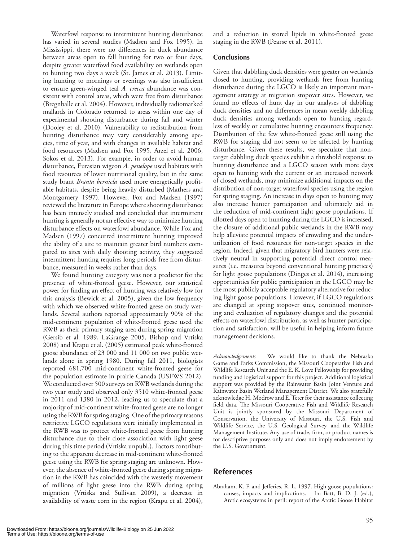Waterfowl response to intermittent hunting disturbance has varied in several studies (Madsen and Fox 1995). In Mississippi, there were no differences in duck abundance between areas open to fall hunting for two or four days, despite greater waterfowl food availability on wetlands open to hunting two days a week (St. James et al. 2013). Limiting hunting to mornings or evenings was also insufficient to ensure green-winged teal *A. crecca* abundance was consistent with control areas, which were free from disturbance (Bregnballe et al. 2004). However, individually radiomarked mallards in Colorado returned to areas within one day of experimental shooting disturbance during fall and winter (Dooley et al. 2010). Vulnerability to redistribution from hunting disturbance may vary considerably among species, time of year, and with changes in available habitat and food resources (Madsen and Fox 1995, Arzel et al. 2006, Sokos et al. 2013). For example, in order to avoid human disturbance, Eurasian wigeon *A. penelope* used habitats with food resources of lower nutritional quality, but in the same study brant *Branta bernicla* used more energetically profitable habitats, despite being heavily disturbed (Mathers and Montgomery 1997). However, Fox and Madsen (1997) reviewed the literature in Europe where shooting disturbance has been intensely studied and concluded that intermittent hunting is generally not an effective way to minimize hunting disturbance effects on waterfowl abundance. While Fox and Madsen (1997) concurred intermittent hunting improved the ability of a site to maintain greater bird numbers compared to sites with daily shooting activity, they suggested intermittent hunting requires long periods free from disturbance, measured in weeks rather than days.

We found hunting category was not a predictor for the presence of white-fronted geese. However, our statistical power for finding an effect of hunting was relatively low for this analysis (Bewick et al. 2005), given the low frequency with which we observed white-fronted geese on study wetlands. Several authors reported approximately 90% of the mid-continent population of white-fronted geese used the RWB as their primary staging area during spring migration (Gersib et al. 1989, LaGrange 2005, Bishop and Vrtiska 2008) and Krapu et al. (2005) estimated peak white-fronted goose abundance of 23 000 and 11 000 on two public wetlands alone in spring 1980. During fall 2011, biologists reported 681,700 mid-continent white-fronted geese for the population estimate in prairie Canada (USFWS 2012). We conducted over 500 surveys on RWB wetlands during the two year study and observed only 3510 white-fronted geese in 2011 and 1380 in 2012, leading us to speculate that a majority of mid-continent white-fronted geese are no longer using the RWB for spring staging. One of the primary reasons restrictive LGCO regulations were initially implemented in the RWB was to protect white-fronted geese from hunting disturbance due to their close association with light geese during this time period (Vrtiska unpubl.). Factors contributing to the apparent decrease in mid-continent white-fronted geese using the RWB for spring staging are unknown. However, the absence of white-fronted geese during spring migration in the RWB has coincided with the westerly movement of millions of light geese into the RWB during spring migration (Vrtiska and Sullivan 2009), a decrease in availability of waste corn in the region (Krapu et al. 2004), and a reduction in stored lipids in white-fronted geese staging in the RWB (Pearse et al. 2011).

#### **Conclusions**

Given that dabbling duck densities were greater on wetlands closed to hunting, providing wetlands free from hunting disturbance during the LGCO is likely an important management strategy at migration stopover sites. However, we found no effects of hunt day in our analyses of dabbling duck densities and no differences in mean weekly dabbling duck densities among wetlands open to hunting regardless of weekly or cumulative hunting encounters frequency. Distribution of the few white-fronted geese still using the RWB for staging did not seem to be affected by hunting disturbance. Given these results, we speculate that nontarget dabbling duck species exhibit a threshold response to hunting disturbance and a LGCO season with more days open to hunting with the current or an increased network of closed wetlands, may minimize additional impacts on the distribution of non-target waterfowl species using the region for spring staging. An increase in days open to hunting may also increase hunter participation and ultimately aid in the reduction of mid-continent light goose populations. If allotted days open to hunting during the LGCO is increased, the closure of additional public wetlands in the RWB may help alleviate potential impacts of crowding and the underutilization of food resources for non-target species in the region. Indeed, given that migratory bird hunters were relatively neutral in supporting potential direct control measures (i.e. measures beyond conventional hunting practices) for light goose populations (Dinges et al. 2014), increasing opportunities for public participation in the LGCO may be the most publicly acceptable regulatory alternative for reducing light goose populations. However, if LGCO regulations are changed at spring stopover sites, continued monitoring and evaluation of regulatory changes and the potential effects on waterfowl distribution, as well as hunter participation and satisfaction, will be useful in helping inform future management decisions.

*Acknowledgements –* We would like to thank the Nebraska Game and Parks Commission, the Missouri Cooperative Fish and Wildlife Research Unit and the E. K. Love Fellowship for providing funding and logistical support for this project. Additional logistical support was provided by the Rainwater Basin Joint Venture and Rainwater Basin Wetland Management District. We also gratefully acknowledge H. Modrow and E. Teter for their assistance collecting field data. The Missouri Cooperative Fish and Wildlife Research Unit is jointly sponsored by the Missouri Department of Conservation, the University of Missouri, the U.S. Fish and Wildlife Service, the U.S. Geological Survey, and the Wildlife Management Institute. Any use of trade, firm, or product names is for descriptive purposes only and does not imply endorsement by the U.S. Government.

## **References**

Abraham, K. F. and Jefferies, R. L. 1997. High goose populations: causes, impacts and implications. – In: Batt, B. D. J. (ed.), Arctic ecosystems in peril: report of the Arctic Goose Habitat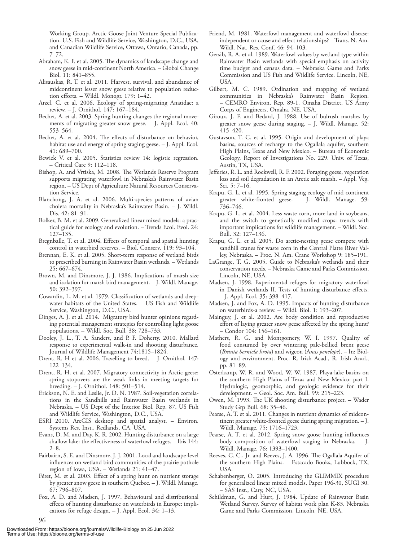Working Group. Arctic Goose Joint Venture Special Publication. U.S. Fish and Wildlife Service, Washington, D.C., USA, and Canadian Wildlife Service, Ottawa, Ontario, Canada, pp. 7–72.

- Abraham, K. F. et al. 2005. The dynamics of landscape change and snow geese in mid-continent North America. – Global Change Biol. 11: 841–855.
- Alisauskas, R. T. et al. 2011. Harvest, survival, and abundance of midcontinent lesser snow geese relative to population reduction efforts. – Wildl. Monogr. 179: 1–42.
- Arzel, C. et al. 2006. Ecology of spring-migrating Anatidae: a review. – J. Ornithol. 147: 167–184.
- Bechet, A. et al. 2003. Spring hunting changes the regional movements of migrating greater snow geese. – J. Appl. Ecol. 40: 553–564.
- Bechet, A. et al. 2004. The effects of disturbance on behavior, habitat use and energy of spring staging geese. - J. Appl. Ecol. 41: 689–700.
- Bewick V. et al. 2005. Statistics review 14: logistic regression. – Critical Care 9: 112–118.
- Bishop, A. and Vrtiska, M. 2008. The Wetlands Reserve Program supports migrating waterfowl in Nebraska's Rainwater Basin region. – US Dept of Agriculture Natural Resources Conservation Service.
- Blanchong, J. A. et al. 2006. Multi-species patterns of avian cholera mortality in Nebraska's Rainwater Basin. – J. Wildl. Dis. 42: 81–91.
- Bolker, B. M. et al. 2009. Generalized linear mixed models: a practical guide for ecology and evolution. – Trends Ecol. Evol. 24: 127–135.
- Bregnballe, T. et al. 2004. Effects of temporal and spatial hunting control in waterbird reserves. – Biol. Conserv. 119: 93–104.
- Brennan, E. K. et al. 2005. Short-term response of wetland birds to prescribed burning in Rainwater Basin wetlands. – Wetlands 25: 667–674.
- Brown, M. and Dinsmore, J. J. 1986. Implications of marsh size and isolation for marsh bird management. – J. Wildl. Manage. 50: 392–397.
- Cowardin, L. M. et al. 1979. Classification of wetlands and deepwater habitats of the United States. – US Fish and Wildlife Service, Washington, D.C., USA.
- Dinges, A. J. et al. 2014. Migratory bird hunter opinions regarding potential management strategies for controlling light goose populations. – Wildl. Soc. Bull. 38: 728–733.
- Dooley, J. L., T. A. Sanders, and P. F. Doherty. 2010. Mallard response to experimental walk-in and shooting disturbance. Journal of Wildlife Management 74:1815–1824.
- Drent, R. H et al. 2006. Travelling to breed. J. Ornithol. 147: 122–134.
- Drent, R. H. et al. 2007. Migratory connectivity in Arctic geese: spring stopovers are the weak links in meeting targets for breeding. – J. Ornithol. 148: 501–514.
- Erickson, N. E. and Leslie, Jr. D. N. 1987. Soil-vegetation correlations in the Sandhills and Rainwater Basin wetlands in Nebraska. – US Dept of the Interior Biol. Rep. 87. US Fish and Wildlife Service, Washington, D.C., USA.
- ESRI 2010. ArcGIS desktop and spatial analyst. Environ. Systems Res. Inst., Redlands, CA, USA.
- Evans, D. M. and Day, K. R. 2002. Hunting disturbance on a large shallow lake: the effectiveness of waterfowl refuges. – Ibis 144: 2–8.
- Fairbairn, S. E. and Dinsmore, J. J. 2001. Local and landscape-level influences on wetland bird communities of the prairie pothole region of Iowa, USA. – Wetlands 21: 41–47.
- Féret, M. et al. 2003. Effect of a spring hunt on nutrient storage by greater snow geese in southern Quebec. – J. Wildl. Manage. 67: 796–807.
- Fox, A. D. and Madsen, J. 1997. Behavioural and distributional effects of hunting disturbance on waterbirds in Europe: implications for refuge design. – J. Appl. Ecol. 34: 1–13.
- Friend, M. 1981. Waterfowl management and waterfowl disease: independent or cause and effect relationships? – Trans. N. Am. Wildl. Nat. Res. Conf. 46: 94–103.
- Gersib, R. A. et al. 1989. Waterfowl values by wetland type within Rainwater Basin wetlands with special emphasis on activity time budget and census data. – Nebraska Game and Parks Commission and US Fish and Wildlife Service. Lincoln, NE, USA.
- Gilbert, M. C. 1989. Ordination and mapping of wetland communities in Nebraska's Rainwater Basin Region. – CEMRO Environ. Rep. 89-1. Omaha District, US Army Corps of Engineers, Omaha, NE, USA.
- Giroux, J. F. and Bedard, J. 1988. Use of bulrush marshes by greater snow geese during staging. – J. Wildl. Manage. 52: 415–420.
- Gustavson, T. C. et al. 1995. Origin and development of playa basins, sources of recharge to the Ogallala aquifer, southern High Plains, Texas and New Mexico. – Bureau of Economic Geology, Report of Investigations No. 229. Univ. of Texas, Austin, TX, USA.
- Jefferies, R. L. and Rockwell, R. F. 2002. Foraging geese, vegetation loss and soil degradation in an Arctic salt marsh. – Appl. Veg. Sci. 5: 7–16.
- Krapu, G. L. et al. 1995. Spring staging ecology of mid-continent greater white-fronted geese. – J. Wildl. Manage. 59: 736–746.
- Krapu, G. L. et al. 2004. Less waste corn, more land in soybeans, and the switch to genetically modified crops: trends with important implications for wildlife management. – Wildl. Soc. Bull. 32: 127–136.
- Krapu, G. L. et al. 2005. Do arctic-nesting geese compete with sandhill cranes for waste corn in the Central Platte River Valley, Nebraska. – Proc. N. Am. Crane Workshop 9: 185–191.
- LaGrange, T. G. 2005. Guide to Nebraska's wetlands and their conservation needs. – Nebraska Game and Parks Commission, Lincoln, NE, USA.
- Madsen, J. 1998. Experimental refuges for migratory waterfowl in Danish wetlands II. Tests of hunting disturbance effects. – J. Appl. Ecol. 35: 398–417.
- Madsen, J. and Fox, A. D. 1995. Impacts of hunting disturbance on waterbirds-a review. – Wildl. Biol. 1: 193–207.
- Mainguy, J. et al. 2002. Are body condition and reproductive effort of laying greater snow geese affected by the spring hunt? – Condor 104: 156–161.
- Mathers, R. G. and Montgomery, W. I. 1997. Quality of food consumed by over wintering pale-bellied brent geese (*Branta bernicla hrota*) and wigeon (A*nas penelope*). – In: Biology and environment. Proc. R. Irish Acad., R. Irish Acad., pp. 81–89.
- Osterkamp, W. R. and Wood, W. W. 1987. Playa-lake basins on the southern High Plains of Texas and New Mexico: part I. Hydrologic, geomorphic, and geologic evidence for their development. – Geol. Soc. Am. Bull. 99: 215–223.
- Owen, M. 1993. The UK shooting disturbance project. Wader Study Grp Bull. 68: 35–46.
- Pearse, A. T. et al. 2011. Changes in nutrient dynamics of midcontinent greater white-fronted geese during spring migration. – J. Wildl. Manage. 75: 1716–1723.
- Pearse, A. T. et al. 2012. Spring snow goose hunting influences body composition of waterfowl staging in Nebraska. – J. Wildl. Manage. 76: 1393–1400.
- Reeves, C. C., Jr. and Reeves, J. A. 1996. The Ogallala Aquifer of the southern High Plains. – Estacado Books, Lubbock, TX, USA.
- Schabenberger, O. 2005. Introducing the GLIMMIX procedure for generalized linear mixed models. Paper 196-30, SUGI 30. – SAS Inst., Cary, NC, USA.
- Schildman, G. and Hurt, J. 1984. Update of Rainwater Basin Wetland Survey. Survey of habitat work plan K-83. Nebraska Game and Parks Commission, Lincoln, NE, USA.